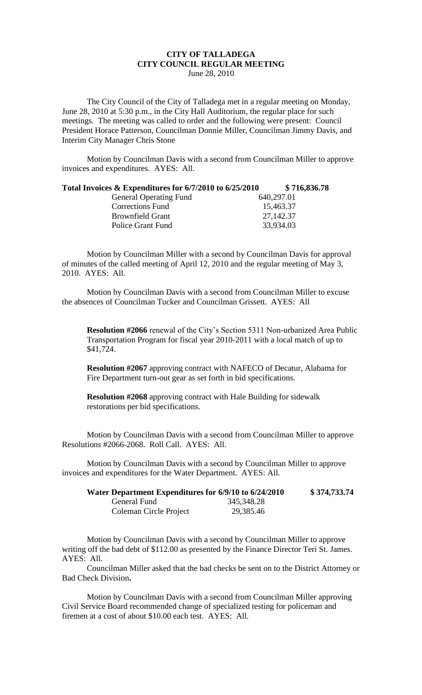## **CITY OF TALLADEGA CITY COUNCIL REGULAR MEETING** June 28, 2010

The City Council of the City of Talladega met in a regular meeting on Monday, June 28, 2010 at 5:30 p.m., in the City Hall Auditorium, the regular place for such meetings. The meeting was called to order and the following were present: Council President Horace Patterson, Councilman Donnie Miller, Councilman Jimmy Davis, and Interim City Manager Chris Stone

Motion by Councilman Davis with a second from Councilman Miller to approve invoices and expenditures. AYES: All.

## **Total Invoices & Expenditures for 6/7/2010 to 6/25/2010 \$ 716,836.78**

| 640,297.01 |
|------------|
| 15,463.37  |
| 27,142.37  |
| 33,934.03  |
|            |

Motion by Councilman Miller with a second by Councilman Davis for approval of minutes of the called meeting of April 12, 2010 and the regular meeting of May 3, 2010. AYES: All.

Motion by Councilman Davis with a second from Councilman Miller to excuse the absences of Councilman Tucker and Councilman Grissett. AYES: All

**Resolution #2066** renewal of the City's Section 5311 Non-urbanized Area Public Transportation Program for fiscal year 2010-2011 with a local match of up to \$41,724.

**Resolution #2067** approving contract with NAFECO of Decatur, Alabama for Fire Department turn-out gear as set forth in bid specifications.

**Resolution #2068** approving contract with Hale Building for sidewalk restorations per bid specifications.

Motion by Councilman Davis with a second from Councilman Miller to approve Resolutions #2066-2068. Roll Call. AYES: All.

Motion by Councilman Davis with a second by Councilman Miller to approve invoices and expenditures for the Water Department. AYES: All.

| Water Department Expenditures for 6/9/10 to 6/24/2010 |              | \$374,733.74 |
|-------------------------------------------------------|--------------|--------------|
| General Fund                                          | 345, 348. 28 |              |
| Coleman Circle Project                                | 29,385.46    |              |

Motion by Councilman Davis with a second by Councilman Miller to approve writing off the bad debt of \$112.00 as presented by the Finance Director Teri St. James. AYES: All.

Councilman Miller asked that the bad checks be sent on to the District Attorney or Bad Check Division.

Motion by Councilman Davis with a second from Councilman Miller approving Civil Service Board recommended change of specialized testing for policeman and firemen at a cost of about \$10.00 each test. AYES: All.